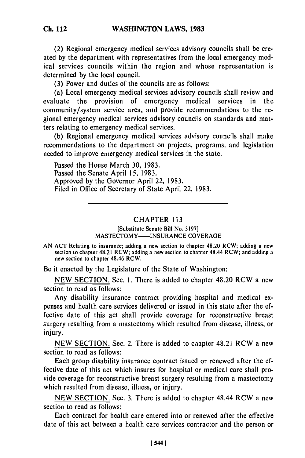(2) Regional emergency medical services advisory councils shall be created by the department with representatives from the local emergency medical services councils within the region and whose representation is determined by the local council.

(3) Power and duties of the councils are as follows:

(a) Local emergency medical services advisory councils shall review and evaluate the provision of emergency medical services in the community/system service area, and provide recommendations to the regional emergency medical services advisory councils on standards and matters relating to emergency medical services.

(b) Regional emergency medical services advisory councils shall make recommendations to the department on projects, programs, and legislation needed to improve emergency medical services in the state.

Passed the House March 30, 1983. Passed the Senate April 15, 1983. Approved by the Governor April 22, 1983. Filed in Office of Secretary of State April 22, 1983.

## CHAPTER 113

[Substitute Senate Bill No. 3197] MASTECTOMY----INSURANCE COVERAGE

Be it enacted by the Legislature of the State of Washington:

NEW SECTION. Sec. I. There is added to chapter 48.20 RCW a new section to read as follows:

Any disability insurance contract providing hospital and medical expenses and health care services delivered or issued in this state after the effective date of this act shall provide coverage for reconstructive breast surgery resulting from a mastectomy which resulted from disease, illness, or injury.

NEW SECTION. Sec. 2. There is added to chapter 48.21 RCW a new section to read as follows:

Each group disability insurance contract issued or renewed after the effective date of this act which insures for hospital or medical care shall provide coverage for reconstructive breast surgery resulting from a mastectomy which resulted from disease, illness, or injury.

NEW SECTION. Sec. 3. There is added to chapter 48.44 RCW a new section to read as follows:

Each contract for health care entered into or renewed after the effective date of this act between a health care services contractor and the person or

AN **ACT** Relating to insurance; adding a new section to chapter 48.20 RCW; adding a new section to chapter 48.21 RCW; adding a new section to chapter 48.44 RCW; and adding a new section to chapter 48.46 RCW.